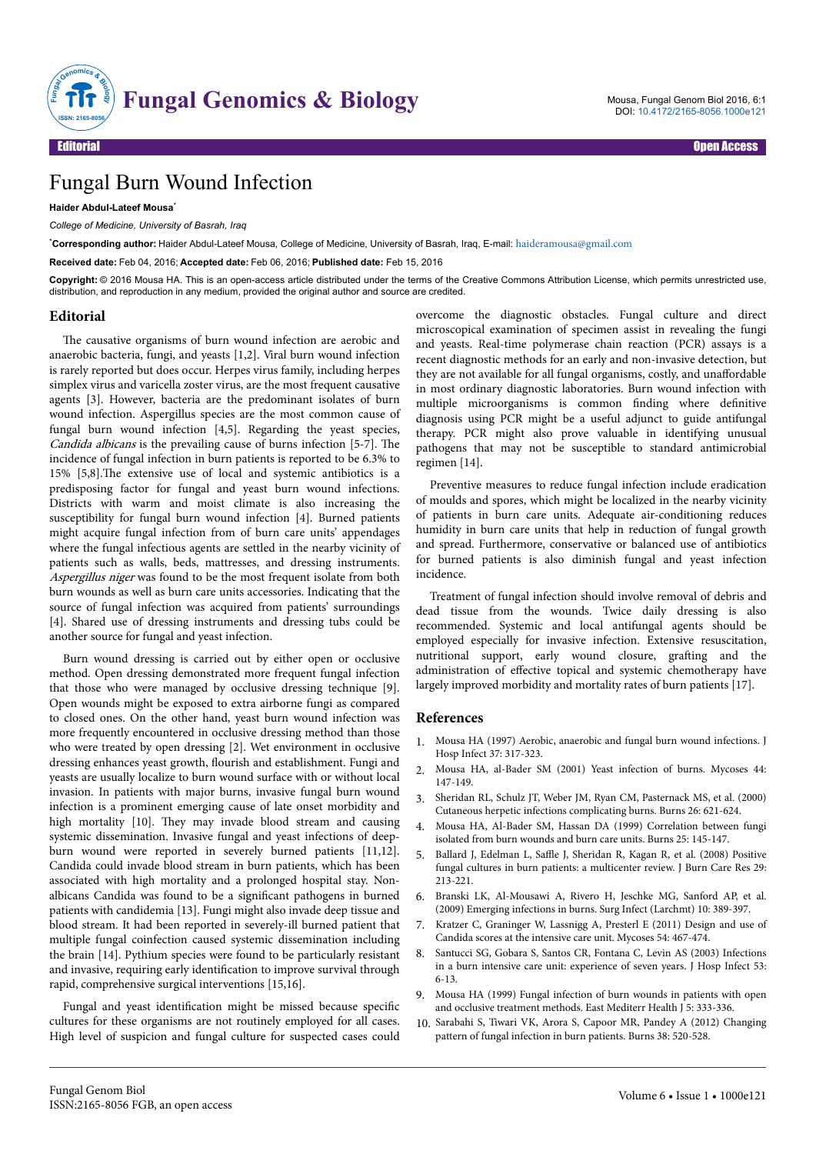

Mousa, Fungal Genom Biol 2016, 6:1 DOI: [10.4172/2165-8056.1000e121](http://dx.doi.org/10.4172/2165-8056.1000e121)

# Fungal Burn Wound Infection

### **Haider Abdul-Lateef Mousa**\*

*College of Medicine, University of Basrah, Iraq*

\***Corresponding author:** Haider Abdul-Lateef Mousa, College of Medicine, University of Basrah, Iraq, E-mail: [haideramousa@gmail.com](mailto:haideramousa@gmail.com)

**Received date:** Feb 04, 2016; **Accepted date:** Feb 06, 2016; **Published date:** Feb 15, 2016

**Copyright:** © 2016 Mousa HA. This is an open-access article distributed under the terms of the Creative Commons Attribution License, which permits unrestricted use, distribution, and reproduction in any medium, provided the original author and source are credited.

#### **Editorial**

The causative organisms of burn wound infection are aerobic and anaerobic bacteria, fungi, and yeasts [1,2]. Viral burn wound infection is rarely reported but does occur. Herpes virus family, including herpes simplex virus and varicella zoster virus, are the most frequent causative agents [3]. However, bacteria are the predominant isolates of burn wound infection. Aspergillus species are the most common cause of fungal burn wound infection [4,5]. Regarding the yeast species, Candida albicans is the prevailing cause of burns infection [5-7]. Нe incidence of fungal infection in burn patients is reported to be 6.3% to 15% [5,8]. The extensive use of local and systemic antibiotics is a predisposing factor for fungal and yeast burn wound infections. Districts with warm and moist climate is also increasing the susceptibility for fungal burn wound infection [4]. Burned patients might acquire fungal infection from of burn care units' appendages where the fungal infectious agents are settled in the nearby vicinity of patients such as walls, beds, mattresses, and dressing instruments. Aspergillus niger was found to be the most frequent isolate from both burn wounds as well as burn care units accessories. Indicating that the source of fungal infection was acquired from patients' surroundings [4]. Shared use of dressing instruments and dressing tubs could be another source for fungal and yeast infection.

Burn wound dressing is carried out by either open or occlusive method. Open dressing demonstrated more frequent fungal infection that those who were managed by occlusive dressing technique [9]. Open wounds might be exposed to extra airborne fungi as compared to closed ones. On the other hand, yeast burn wound infection was more frequently encountered in occlusive dressing method than those who were treated by open dressing [2]. Wet environment in occlusive dressing enhances yeast growth, flourish and establishment. Fungi and yeasts are usually localize to burn wound surface with or without local invasion. In patients with major burns, invasive fungal burn wound infection is a prominent emerging cause of late onset morbidity and high mortality [10]. They may invade blood stream and causing systemic dissemination. Invasive fungal and yeast infections of deepburn wound were reported in severely burned patients [11,12]. Candida could invade blood stream in burn patients, which has been associated with high mortality and a prolonged hospital stay. Nonalbicans Candida was found to be a significant pathogens in burned patients with candidemia [13]. Fungi might also invade deep tissue and blood stream. It had been reported in severely-ill burned patient that multiple fungal coinfection caused systemic dissemination including the brain [14]. Pythium species were found to be particularly resistant and invasive, requiring early identification to improve survival through rapid, comprehensive surgical interventions [15,16].

Fungal and yeast identification might be missed because specific cultures for these organisms are not routinely employed for all cases. High level of suspicion and fungal culture for suspected cases could overcome the diagnostic obstacles. Fungal culture and direct microscopical examination of specimen assist in revealing the fungi and yeasts. Real-time polymerase chain reaction (PCR) assays is a recent diagnostic methods for an early and non-invasive detection, but they are not available for all fungal organisms, costly, and unaffordable in most ordinary diagnostic laboratories. Burn wound infection with multiple microorganisms is common finding where definitive diagnosis using PCR might be a useful adjunct to guide antifungal therapy. PCR might also prove valuable in identifying unusual pathogens that may not be susceptible to standard antimicrobial regimen [14].

Preventive measures to reduce fungal infection include eradication of moulds and spores, which might be localized in the nearby vicinity of patients in burn care units. Adequate air-conditioning reduces humidity in burn care units that help in reduction of fungal growth and spread. Furthermore, conservative or balanced use of antibiotics for burned patients is also diminish fungal and yeast infection incidence.

Treatment of fungal infection should involve removal of debris and dead tissue from the wounds. Twice daily dressing is also recommended. Systemic and local antifungal agents should be employed especially for invasive infection. Extensive resuscitation, nutritional support, early wound closure, grafting and the administration of effective topical and systemic chemotherapy have largely improved morbidity and mortality rates of burn patients [17].

## **References**

- 1. [Mousa HA \(1997\) Aerobic, anaerobic and fungal burn wound infections. J](http://www.ncbi.nlm.nih.gov/pubmed/9457609) [Hosp Infect 37: 317-323.](http://www.ncbi.nlm.nih.gov/pubmed/9457609)
- 2. [Mousa HA, al-Bader SM \(2001\) Yeast infection of burns. Mycoses 44:](http://www.ncbi.nlm.nih.gov/pubmed/11486451) [147-149.](http://www.ncbi.nlm.nih.gov/pubmed/11486451)
- 3. [Sheridan RL, Schulz JT, Weber JM, Ryan CM, Pasternack MS, et al. \(2000\)](http://www.ncbi.nlm.nih.gov/pubmed/10925184) [Cutaneous herpetic infections complicating burns. Burns 26: 621-624.](http://www.ncbi.nlm.nih.gov/pubmed/10925184)
- 4. [Mousa HA, Al-Bader SM, Hassan DA \(1999\) Correlation between fungi](http://www.ncbi.nlm.nih.gov/pubmed/10208389) [isolated from burn wounds and burn care units. Burns 25: 145-147.](http://www.ncbi.nlm.nih.gov/pubmed/10208389)
- 5. Ballard J, Edelman L, Saffle [J, Sheridan R, Kagan R, et al. \(2008\) Positive](http://www.ncbi.nlm.nih.gov/pubmed/18182925) [fungal cultures in burn patients: a multicenter review. J Burn Care Res 29:](http://www.ncbi.nlm.nih.gov/pubmed/18182925) [213-221.](http://www.ncbi.nlm.nih.gov/pubmed/18182925)
- 6. [Branski LK, Al-Mousawi A, Rivero H, Jeschke MG, Sanford AP, et al.](http://www.ncbi.nlm.nih.gov/pubmed/19810827) [\(2009\) Emerging infections in burns. Surg Infect \(Larchmt\) 10: 389-397.](http://www.ncbi.nlm.nih.gov/pubmed/19810827)
- 7. [Kratzer C, Graninger W, Lassnigg A, Presterl E \(2011\) Design and use of](http://www.ncbi.nlm.nih.gov/pubmed/21535452) [Candida scores at the intensive care unit. Mycoses 54: 467-474.](http://www.ncbi.nlm.nih.gov/pubmed/21535452)
- [Santucci SG, Gobara S, Santos CR, Fontana C, Levin AS \(2003\) Infections](http://www.ncbi.nlm.nih.gov/pubmed/12495679) [in a burn intensive care unit: experience of seven years. J Hosp Infect 53:](http://www.ncbi.nlm.nih.gov/pubmed/12495679) [6-13.](http://www.ncbi.nlm.nih.gov/pubmed/12495679)
- 9. [Mousa HA \(1999\) Fungal infection of burn wounds in patients with open](http://www.ncbi.nlm.nih.gov/pubmed/10793810) [and occlusive treatment methods. East Mediterr Health J 5: 333-336.](http://www.ncbi.nlm.nih.gov/pubmed/10793810)
- 10. [Sarabahi S, Tiwari VK, Arora S, Capoor MR, Pandey A \(2012\) Changing](http://www.ncbi.nlm.nih.gov/pubmed/22035885) [pattern of fungal infection in burn patients. Burns 38: 520-528.](http://www.ncbi.nlm.nih.gov/pubmed/22035885)